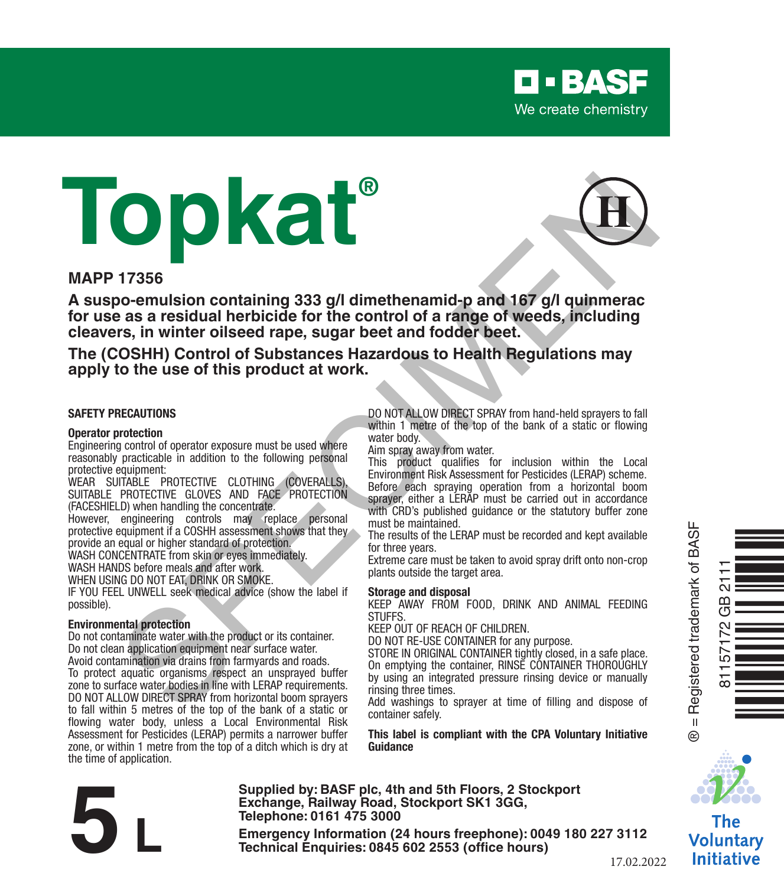

# **Topkat®**



#### **MAPP 17356**

**A suspo-emulsion containing 333 g/l dimethenamid-p and 167 g/l quinmerac for use as a residual herbicide for the control of a range of weeds, including cleavers, in winter oilseed rape, sugar beet and fodder beet.** TRESS<br>
TRANSFERIENCE CONTRACT IN THE STATE AND A SUPER CONTRACT IN THE STATE OF THE STATE OF THE STATE OF THE STATE OF THE STATE OF THE STATE OF THE STATE OF THE STATE OF THE STATE OF THE STATE OF THE STATE OF THE STATE OF

**The (COSHH) Control of Substances Hazardous to Health Regulations may apply to the use of this product at work.**

#### **SAFETY PRECAUTIONS**

#### **Operator protection**

Engineering control of operator exposure must be used where reasonably practicable in addition to the following personal protective equipment:

WEAR SUITABLE PROTECTIVE CLOTHING (COVERALLS) SUITABLE PROTECTIVE GLOVES AND FACE PROTECTION (FACESHIELD) when handling the concentrate.

However, engineering controls may replace personal protective equipment if a COSHH assessment shows that they provide an equal or higher standard of protection. WASH CONCENTRATE from skin or eyes immediately. WASH HANDS before meals and after work.

WHEN USING DO NOT EAT, DRINK OR SMOKE.

IF YOU FEEL UNWELL seek medical advice (show the label if possible).

#### **Environmental protection**

Do not contaminate water with the product or its container. Do not clean application equipment near surface water. Avoid contamination via drains from farmyards and roads. To protect aquatic organisms respect an unsprayed buffer zone to surface water bodies in line with LERAP requirements. DO NOT ALLOW DIRECT SPRAY from horizontal boom sprayers to fall within 5 metres of the top of the bank of a static or flowing water body, unless a Local Environmental Risk Assessment for Pesticides (LERAP) permits a narrower buffer zone, or within 1 metre from the top of a ditch which is dry at the time of application.

DO NOT ALLOW DIRECT SPRAY from hand-held sprayers to fall within 1 metre of the top of the bank of a static or flowing water body.

Aim spray away from water.

This product qualifies for inclusion within the Local Environment Risk Assessment for Pesticides (LERAP) scheme. Before each spraying operation from a horizontal boom sprayer, either a LERAP must be carried out in accordance with CRD's published quidance or the statutory buffer zone must be maintained.

The results of the LERAP must be recorded and kept available for three years.

Extreme care must be taken to avoid spray drift onto non-crop plants outside the target area.

#### **Storage and disposal**

KEEP AWAY FROM FOOD, DRINK AND ANIMAL FEEDING **STUFFS** 

KEEP OUT OF REACH OF CHILDREN.

DO NOT RE-USE CONTAINER for any purpose.

STORE IN ORIGINAL CONTAINER tightly closed, in a safe place. On emptying the container, RINSE CONTAINER THOROUGHLY by using an integrated pressure rinsing device or manually rinsing three times.

Add washings to sprayer at time of filling and dispose of container safely.

**This label is compliant with the CPA Voluntary Initiative Guidance**



The Voluntary **Initiative** 

**Supplied by: BASF plc, 4th and 5th Floors, 2 Stockport Exchange, Railway Road, Stockport SK1 3GG, Telephone: 0161 475 3000** Exchange, Rallway Road, Stockport SK1 3GG,<br>
Telephone: 0161 475 3000<br>
Emergency Information (24 hours freephone): 0049 180 227 3112<br>
Technical Enquiries: 0845 602 2553 (office hours)<br>
17.02.20

17.02.2022

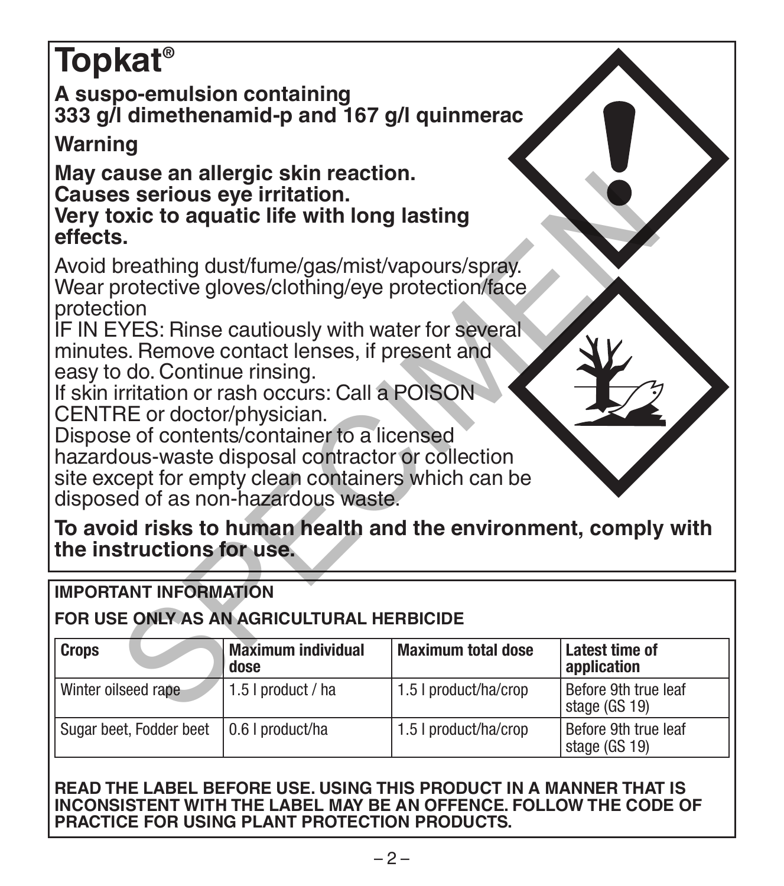# **Topkat® A suspo-emulsion containing 333 g/l dimethenamid-p and 167 g/l quinmerac Warning May cause an allergic skin reaction. Causes serious eye irritation. Very toxic to aquatic life with long lasting effects.** Avoid breathing dust/fume/gas/mist/vapours/spray. Wear protective gloves/clothing/eye protection/face protection IF IN EYES: Rinse cautiously with water for several minutes. Remove contact lenses, if present and easy to do. Continue rinsing. If skin irritation or rash occurs: Call a POISON CENTRE or doctor/physician. Dispose of contents/container to a licensed hazardous-waste disposal contractor or collection site except for empty clean containers which can be disposed of as non-hazardous waste. Sometime and the specific solition.<br>
Sometime of the section of the section of the section of the section of the section of the section of the section of the section of the section of the section of the section of the sect

**To avoid risks to human health and the environment, comply with the instructions for use.**

# **IMPORTANT INFORMATION**

# **FOR USE ONLY AS AN AGRICULTURAL HERBICIDE**

| <b>Crops</b>            | <b>Maximum individual</b><br>dose | Maximum total dose    | Latest time of<br>application         |
|-------------------------|-----------------------------------|-----------------------|---------------------------------------|
| Winter oilseed rape     | 1.5   product / ha                | 1.5 I product/ha/crop | Before 9th true leaf<br>stage (GS 19) |
| Sugar beet, Fodder beet | 0.6   product/ha                  | 1.5   product/ha/crop | Before 9th true leaf<br>stage (GS 19) |

#### **READ THE LABEL BEFORE USE. USING THIS PRODUCT IN A MANNER THAT IS INCONSISTENT WITH THE LABEL MAY BE AN OFFENCE. FOLLOW THE CODE OF PRACTICE FOR USING PLANT PROTECTION PRODUCTS.**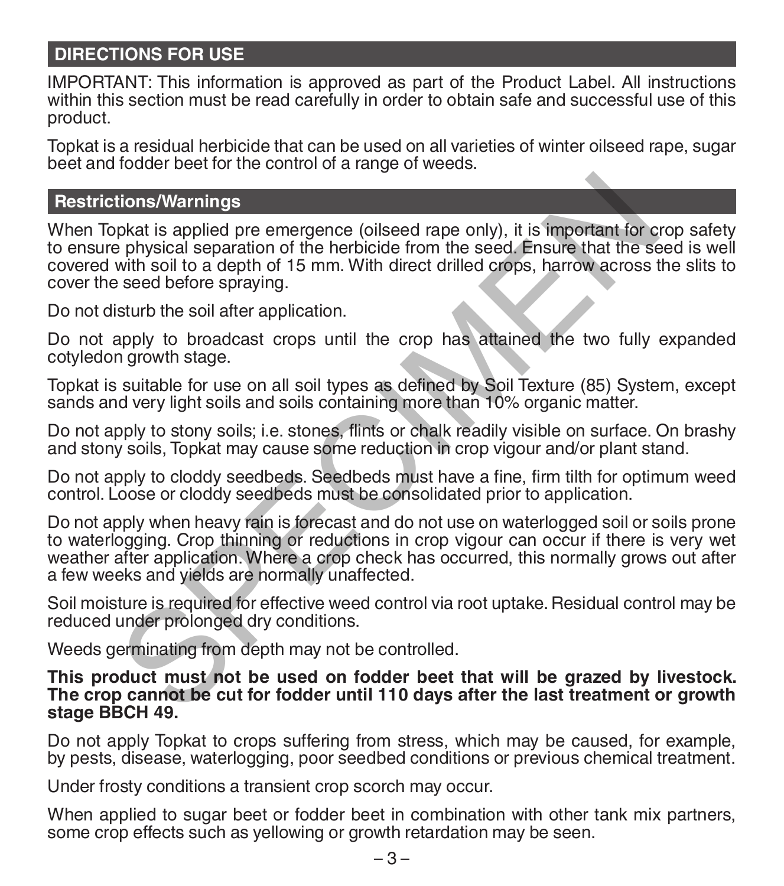### **DIRECTIONS FOR USE**

IMPORTANT: This information is approved as part of the Product Label. All instructions within this section must be read carefully in order to obtain safe and successful use of this product.

Topkat is a residual herbicide that can be used on all varieties of winter oilseed rape, sugar beet and fodder beet for the control of a range of weeds.

#### **Restrictions/Warnings**

When Topkat is applied pre emergence (oilseed rape only), it is important for crop safety to ensure physical separation of the herbicide from the seed. Ensure that the seed is well covered with soil to a depth of 15 mm. With direct drilled crops, harrow across the slits to cover the seed before spraying.

Do not disturb the soil after application.

Do not apply to broadcast crops until the crop has attained the two fully expanded cotyledon growth stage.

Topkat is suitable for use on all soil types as defined by Soil Texture (85) System, except sands and very light soils and soils containing more than 10% organic matter.

Do not apply to stony soils; i.e. stones, flints or chalk readily visible on surface. On brashy and stony soils, Topkat may cause some reduction in crop vigour and/or plant stand.

Do not apply to cloddy seedbeds. Seedbeds must have a fine, firm tilth for optimum weed control. Loose or cloddy seedbeds must be consolidated prior to application.

Do not apply when heavy rain is forecast and do not use on waterlogged soil or soils prone to waterlogging. Crop thinning or reductions in crop vigour can occur if there is very wet weather after application. Where a crop check has occurred, this normally grows out after a few weeks and yields are normally unaffected. tions/Warnings<br>pkat is applied pre emergence (oilseed rape only), it is important for c<br>physical separation of the herbicide from the seed. Ensure that the set<br>seed before spraying. With direct drilled crops, harrow across

Soil moisture is required for effective weed control via root uptake. Residual control may be reduced under prolonged dry conditions.

Weeds germinating from depth may not be controlled.

#### **This product must not be used on fodder beet that will be grazed by livestock. The crop cannot be cut for fodder until 110 days after the last treatment or growth stage BBCH 49.**

Do not apply Topkat to crops suffering from stress, which may be caused, for example, by pests, disease, waterlogging, poor seedbed conditions or previous chemical treatment.

Under frosty conditions a transient crop scorch may occur.

When applied to sugar beet or fodder beet in combination with other tank mix partners, some crop effects such as yellowing or growth retardation may be seen.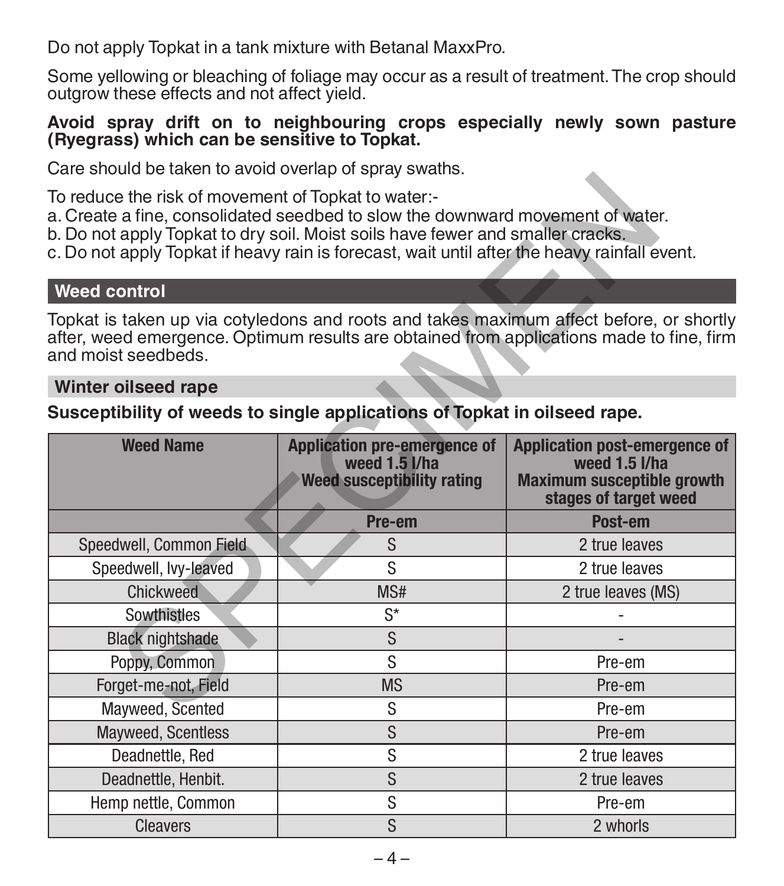Do not apply Topkat in a tank mixture with Betanal MaxxPro.

Some yellowing or bleaching of foliage may occur as a result of treatment. The crop should outgrow these effects and not affect yield.

#### **Avoid spray drift on to neighbouring crops especially newly sown pasture (Ryegrass) which can be sensitive to Topkat.**

Care should be taken to avoid overlap of spray swaths.

#### **Weed control**

#### **Winter oilseed rape**

#### **Susceptibility of weeds to single applications of Topkat in oilseed rape.**

| <u>ouro onodia bo laiton to avoia ovonap or opiav onalilo.</u> |                                                                                                                                                                                                                                                                  |                                                                                                                     |  |
|----------------------------------------------------------------|------------------------------------------------------------------------------------------------------------------------------------------------------------------------------------------------------------------------------------------------------------------|---------------------------------------------------------------------------------------------------------------------|--|
| To reduce the risk of movement of Topkat to water:-            | a. Create a fine, consolidated seedbed to slow the downward movement of water.<br>b. Do not apply Topkat to dry soil. Moist soils have fewer and smaller cracks.<br>c. Do not apply Topkat if heavy rain is forecast, wait until after the heavy rainfall event. |                                                                                                                     |  |
| <b>Weed control</b>                                            |                                                                                                                                                                                                                                                                  |                                                                                                                     |  |
| and moist seedbeds.                                            | Topkat is taken up via cotyledons and roots and takes maximum affect before, or shortly<br>after, weed emergence. Optimum results are obtained from applications made to fine, firm                                                                              |                                                                                                                     |  |
| Winter oilseed rape                                            |                                                                                                                                                                                                                                                                  |                                                                                                                     |  |
|                                                                | Susceptibility of weeds to single applications of Topkat in oilseed rape.                                                                                                                                                                                        |                                                                                                                     |  |
| <b>Weed Name</b>                                               | <b>Application pre-emergence of</b><br>weed 1.5 l/ha<br>Weed susceptibility rating                                                                                                                                                                               | <b>Application post-emergence of</b><br>weed 1.5 I/ha<br><b>Maximum susceptible growth</b><br>stages of target weed |  |
|                                                                | Pre-em                                                                                                                                                                                                                                                           | Post-em                                                                                                             |  |
| Speedwell, Common Field                                        | S                                                                                                                                                                                                                                                                | 2 true leaves                                                                                                       |  |
| Speedwell, Ivy-leaved                                          | S                                                                                                                                                                                                                                                                | 2 true leaves                                                                                                       |  |
| Chickweed                                                      | MS#                                                                                                                                                                                                                                                              | 2 true leaves (MS)                                                                                                  |  |
| Sowthistles                                                    | $S^*$                                                                                                                                                                                                                                                            |                                                                                                                     |  |
| <b>Black nightshade</b>                                        | S                                                                                                                                                                                                                                                                |                                                                                                                     |  |
| Poppy, Common                                                  | S                                                                                                                                                                                                                                                                | Pre-em                                                                                                              |  |
| Forget-me-not, Field                                           | <b>MS</b>                                                                                                                                                                                                                                                        | Pre-em                                                                                                              |  |
| Mayweed, Scented                                               | S                                                                                                                                                                                                                                                                | Pre-em                                                                                                              |  |
| Mayweed, Scentless                                             | S                                                                                                                                                                                                                                                                | Pre-em                                                                                                              |  |
| Deadnettle, Red                                                | S                                                                                                                                                                                                                                                                | 2 true leaves                                                                                                       |  |
| Deadnettle, Henbit.                                            | S                                                                                                                                                                                                                                                                | 2 true leaves                                                                                                       |  |
| Hemp nettle, Common                                            | S                                                                                                                                                                                                                                                                | Pre-em                                                                                                              |  |
| <b>Cleavers</b>                                                | S                                                                                                                                                                                                                                                                | 2 whorls                                                                                                            |  |
|                                                                |                                                                                                                                                                                                                                                                  |                                                                                                                     |  |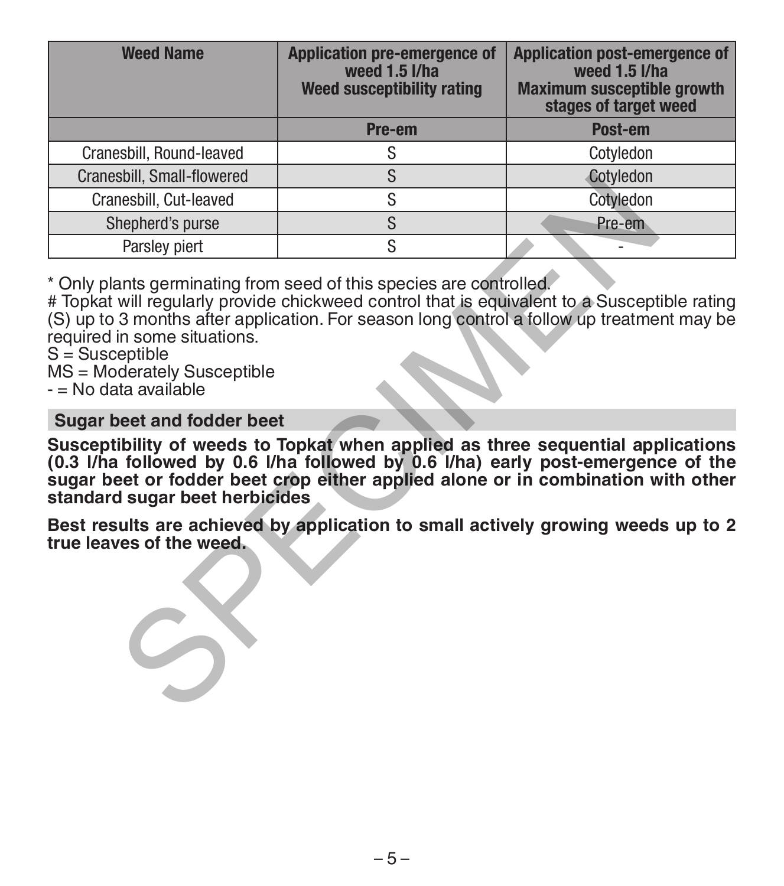| <b>Weed Name</b>                                                                                                                                                                                                                                                                                      | <b>Application pre-emergence of</b><br>weed 1.5 l/ha<br>Weed susceptibility rating | <b>Application post-emergence of</b><br>weed 1.5 l/ha<br><b>Maximum susceptible growth</b><br>stages of target weed |  |
|-------------------------------------------------------------------------------------------------------------------------------------------------------------------------------------------------------------------------------------------------------------------------------------------------------|------------------------------------------------------------------------------------|---------------------------------------------------------------------------------------------------------------------|--|
|                                                                                                                                                                                                                                                                                                       | Pre-em                                                                             | Post-em                                                                                                             |  |
| Cranesbill, Round-leaved                                                                                                                                                                                                                                                                              | S                                                                                  | Cotyledon                                                                                                           |  |
| <b>Cranesbill, Small-flowered</b>                                                                                                                                                                                                                                                                     | S                                                                                  | Cotyledon                                                                                                           |  |
| Cranesbill, Cut-leaved                                                                                                                                                                                                                                                                                | S                                                                                  | Cotyledon                                                                                                           |  |
| Shepherd's purse                                                                                                                                                                                                                                                                                      | S                                                                                  | Pre-em                                                                                                              |  |
| Parsley piert                                                                                                                                                                                                                                                                                         | S                                                                                  |                                                                                                                     |  |
| # Topkat will reqularly provide chickweed control that is equivalent to a Susceptible rating<br>(S) up to 3 months after application. For season long control a follow up treatment may be<br>required in some situations.<br>S = Susceptible<br>MS = Moderately Susceptible<br>- = No data available |                                                                                    |                                                                                                                     |  |
| Sugar beet and fodder beet                                                                                                                                                                                                                                                                            |                                                                                    |                                                                                                                     |  |
| Susceptibility of weeds to Topkat when applied as three sequential applications<br>(0.3 I/ha followed by 0.6 I/ha followed by 0.6 I/ha) early post-emergence of the<br>sugar beet or fodder beet crop either applied alone or in combination with other<br>standard sugar beet herbicides             |                                                                                    |                                                                                                                     |  |
| Best results are achieved by application to small actively growing weeds up to 2<br>true leaves of the weed.                                                                                                                                                                                          |                                                                                    |                                                                                                                     |  |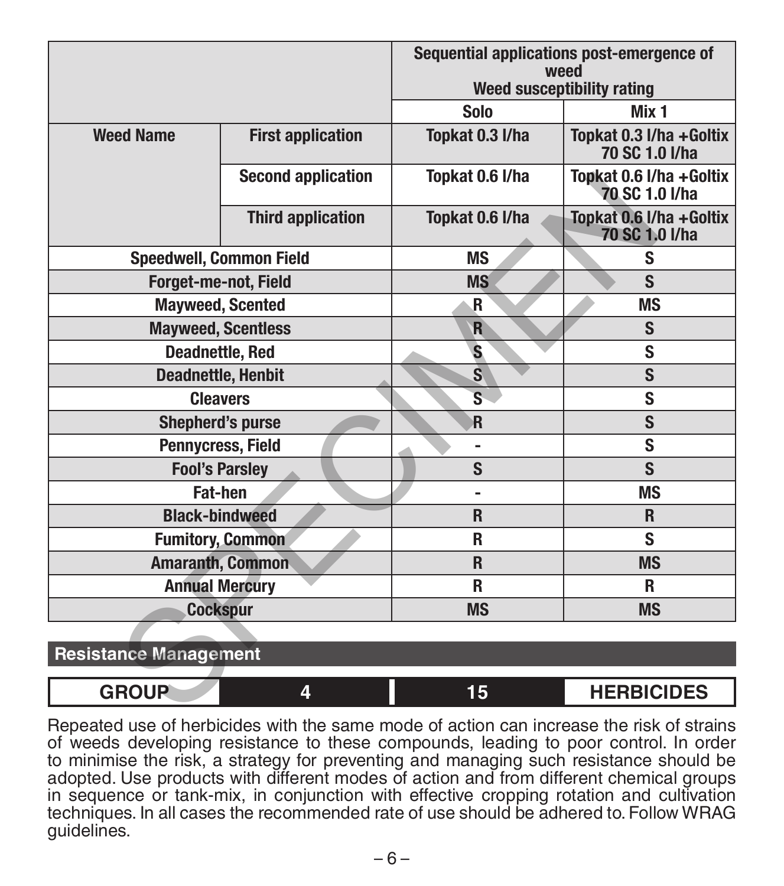|                              |                                | Sequential applications post-emergence of<br>weed |                                            |
|------------------------------|--------------------------------|---------------------------------------------------|--------------------------------------------|
|                              |                                | Weed susceptibility rating                        |                                            |
|                              |                                | Solo                                              | Mix 1                                      |
| <b>Weed Name</b>             | <b>First application</b>       | Topkat 0.3 I/ha                                   | Topkat 0.3 I/ha + Goltix<br>70 SC 1.0 l/ha |
|                              | <b>Second application</b>      | Topkat 0.6 I/ha                                   | Topkat 0.6 I/ha + Goltix<br>70 SC 1.0 I/ha |
|                              | <b>Third application</b>       | Topkat 0.6 I/ha                                   | Topkat 0.6 I/ha + Goltix<br>70 SC 1.0 I/ha |
|                              | <b>Speedwell, Common Field</b> | <b>MS</b>                                         | S                                          |
|                              | Forget-me-not, Field           | <b>MS</b>                                         | S                                          |
|                              | <b>Mavweed, Scented</b>        | .R                                                | ΜS                                         |
| <b>Mayweed, Scentless</b>    |                                | $\overline{R}$                                    | S                                          |
|                              | <b>Deadnettle, Red</b>         | S.                                                | S                                          |
| <b>Deadnettle, Henbit</b>    |                                | $\overline{\mathbf{s}}$                           | S                                          |
|                              | <b>Cleavers</b>                | s                                                 | S                                          |
| <b>Shepherd's purse</b>      |                                | R                                                 | S                                          |
| Pennycress, Field            |                                | $\overline{a}$                                    | S                                          |
| <b>Fool's Parslev</b>        |                                | S                                                 | S                                          |
|                              | Fat-hen                        | ٠                                                 | ΜS                                         |
|                              | <b>Black-bindweed</b>          | R                                                 | R                                          |
|                              | <b>Fumitory, Common</b>        | R                                                 | S                                          |
|                              | <b>Amaranth, Common</b>        | R                                                 | <b>MS</b>                                  |
| <b>Annual Mercury</b>        |                                | R                                                 | R                                          |
| <b>Cockspur</b>              |                                | <b>MS</b>                                         | <b>MS</b>                                  |
|                              |                                |                                                   |                                            |
| <b>Resistance Management</b> |                                |                                                   |                                            |
| <b>GROUP</b>                 | 4                              | 15                                                | <b>HERBICIDES</b>                          |

|  | Resistance Management |
|--|-----------------------|
|--|-----------------------|

| CDOUD | 15 | <b>HERBICIDES</b> |
|-------|----|-------------------|
|       |    |                   |

Repeated use of herbicides with the same mode of action can increase the risk of strains of weeds developing resistance to these compounds, leading to poor control. In order to minimise the risk, a strategy for preventing and managing such resistance should be adopted. Use products with different modes of action and from different chemical groups in sequence or tank-mix, in conjunction with effective cropping rotation and cultivation techniques. In all cases the recommended rate of use should be adhered to. Follow WRAG guidelines.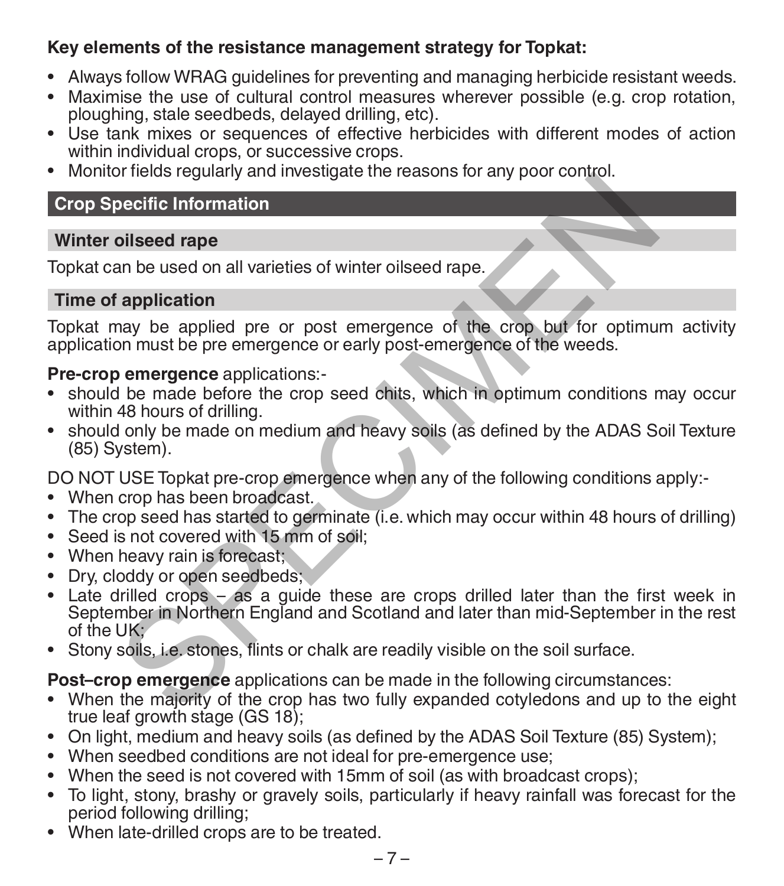# **Key elements of the resistance management strategy for Topkat:**

- Always follow WRAG guidelines for preventing and managing herbicide resistant weeds.
- Maximise the use of cultural control measures wherever possible (e.g. crop rotation, ploughing, stale seedbeds, delayed drilling, etc).
- Use tank mixes or sequences of effective herbicides with different modes of action within individual crops, or successive crops.
- Monitor fields regularly and investigate the reasons for any poor control.

# **Crop Specific Information**

#### **Winter oilseed rape**

Topkat can be used on all varieties of winter oilseed rape.

#### **Time of application**

Topkat may be applied pre or post emergence of the crop but for optimum activity application must be pre emergence or early post-emergence of the weeds.

#### **Pre-crop emergence** applications:-

- should be made before the crop seed chits, which in optimum conditions may occur within 48 hours of drilling.
- should only be made on medium and heavy soils (as defined by the ADAS Soil Texture (85) System).

DO NOT USE Topkat pre-crop emergence when any of the following conditions apply:-

- When crop has been broadcast.
- The crop seed has started to germinate (i.e. which may occur within 48 hours of drilling)
- Seed is not covered with 15 mm of soil;
- When heavy rain is forecast;
- Dry, cloddy or open seedbeds;
- Late drilled crops as a guide these are crops drilled later than the first week in September in Northern England and Scotland and later than mid-September in the rest of the UK; principal and investigate the reasons for any poor component<br>consider application<br>and be used on all varieties of winter oilseed rape.<br> **Example 2** application<br>
and be presence applications:<br> **Example 2** applications:<br> **Ex**
- Stony soils, i.e. stones, flints or chalk are readily visible on the soil surface.

**Post–crop emergence** applications can be made in the following circumstances:

- When the majority of the crop has two fully expanded cotyledons and up to the eight true leaf growth stage (GS 18);
- On light, medium and heavy soils (as defined by the ADAS Soil Texture (85) System);
- When seedbed conditions are not ideal for pre-emergence use:
- When the seed is not covered with 15mm of soil (as with broadcast crops);
- To light, stony, brashy or gravely soils, particularly if heavy rainfall was forecast for the period following drilling;
- When late-drilled crops are to be treated.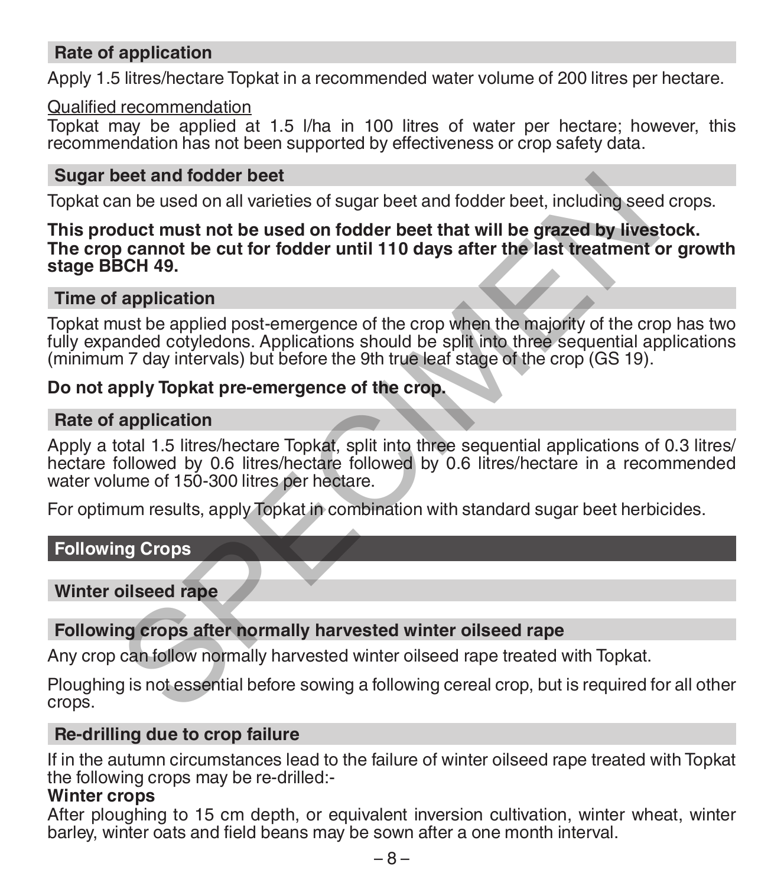#### **Rate of application**

Apply 1.5 litres/hectare Topkat in a recommended water volume of 200 litres per hectare.

#### Qualified recommendation

Topkat may be applied at 1.5 l/ha in 100 litres of water per hectare; however, this recommendation has not been supported by effectiveness or crop safety data.

#### **Sugar beet and fodder beet**

Topkat can be used on all varieties of sugar beet and fodder beet, including seed crops.

# **This product must not be used on fodder beet that will be grazed by livestock. The crop cannot be cut for fodder until 110 days after the last treatment or growth stage BBCH 49.** beet and fodder beet<br>an be used on all varieties of sugar beet and fodder beet, including seed<br>and be used on all varieties of sugar beet and fodder beet, including seed<br>or cannot be cut for fodder until 110 days after the

#### **Time of application**

Topkat must be applied post-emergence of the crop when the majority of the crop has two fully expanded cotyledons. Applications should be split into three sequential applications (minimum 7 day intervals) but before the 9th true leaf stage of the crop (GS 19).

#### **Do not apply Topkat pre-emergence of the crop.**

#### **Rate of application**

Apply a total 1.5 litres/hectare Topkat, split into three sequential applications of 0.3 litres/ hectare followed by 0.6 litres/hectare followed by 0.6 litres/hectare in a recommended water volume of 150-300 litres per hectare.

For optimum results, apply Topkat in combination with standard sugar beet herbicides.

#### **Following Crops**

#### **Winter oilseed rape**

#### **Following crops after normally harvested winter oilseed rape**

Any crop can follow normally harvested winter oilseed rape treated with Topkat.

Ploughing is not essential before sowing a following cereal crop, but is required for all other crops.

#### **Re-drilling due to crop failure**

If in the autumn circumstances lead to the failure of winter oilseed rape treated with Topkat the following crops may be re-drilled:-

#### **Winter crops**

After ploughing to 15 cm depth, or equivalent inversion cultivation, winter wheat, winter barley, winter oats and field beans may be sown after a one month interval.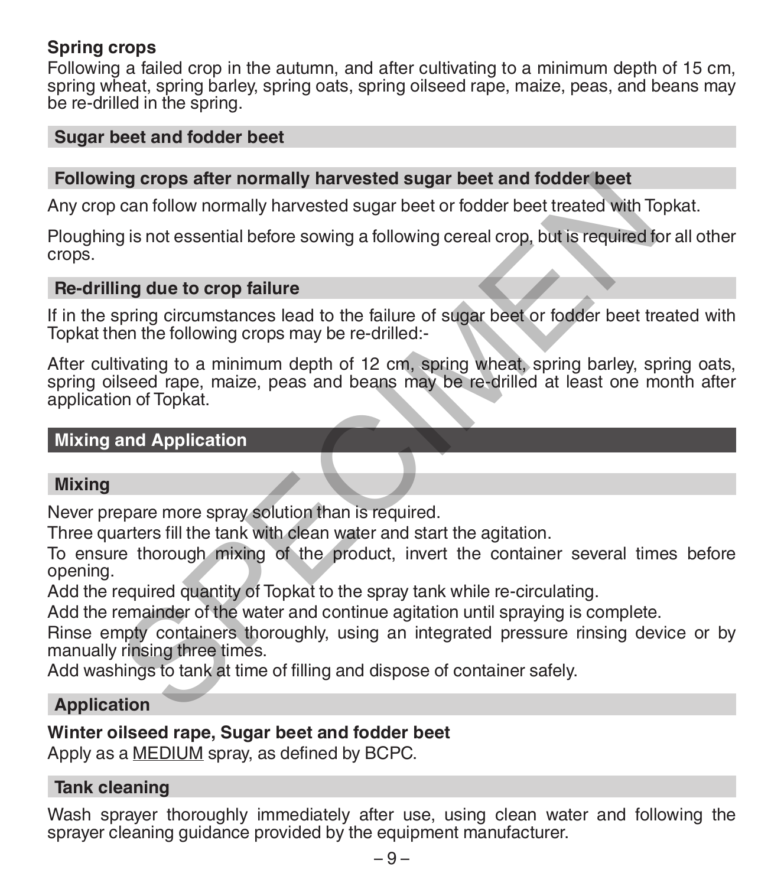#### **Spring crops**

Following a failed crop in the autumn, and after cultivating to a minimum depth of 15 cm, spring wheat, spring barley, spring oats, spring oilseed rape, maize, peas, and beans may be re-drilled in the spring.

#### **Sugar beet and fodder beet**

#### **Following crops after normally harvested sugar beet and fodder beet**

Any crop can follow normally harvested sugar beet or fodder beet treated with Topkat.

Ploughing is not essential before sowing a following cereal crop, but is required for all other crops.

#### **Re-drilling due to crop failure**

If in the spring circumstances lead to the failure of sugar beet or fodder beet treated with Topkat then the following crops may be re-drilled:-

After cultivating to a minimum depth of 12 cm, spring wheat, spring barley, spring oats, spring oilseed rape, maize, peas and beans may be re-drilled at least one month after application of Topkat. ng crops after normally harvested sugar beet and fodder beet<br>can follow normally harvested sugar beet or fodder beet treated with Tc<br>g is not essential before sowing a following cereal crop, but is required for<br>ling due to

#### **Mixing and Application**

#### **Mixing**

Never prepare more spray solution than is required.

Three quarters fill the tank with clean water and start the agitation.

To ensure thorough mixing of the product, invert the container several times before opening.

Add the required quantity of Topkat to the spray tank while re-circulating.

Add the remainder of the water and continue agitation until spraying is complete.

Rinse empty containers thoroughly, using an integrated pressure rinsing device or by manually rinsing three times.

Add washings to tank at time of filling and dispose of container safely.

#### **Application**

#### **Winter oilseed rape, Sugar beet and fodder beet**

Apply as a MEDIUM spray, as defined by BCPC.

#### **Tank cleaning**

Wash sprayer thoroughly immediately after use, using clean water and following the sprayer cleaning guidance provided by the equipment manufacturer.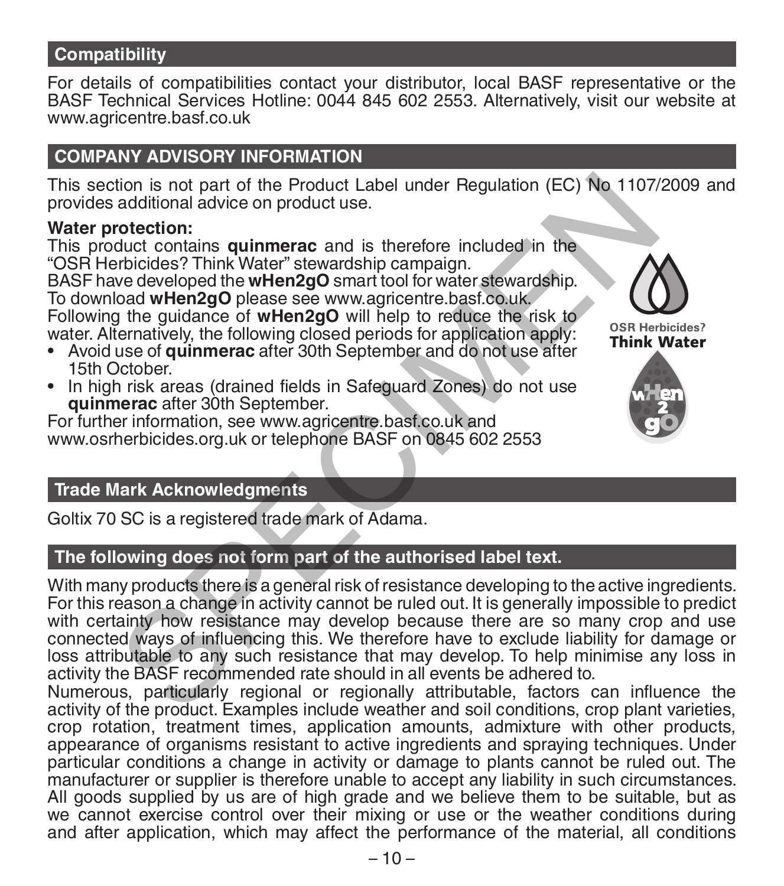#### **Compatibility**

For details of compatibilities contact your distributor, local BASF representative or the BASF Technical Services Hotline: 0044 845 602 2553. Alternatively, visit our website at www.agricentre.basf.co.uk

# **COMPANY ADVISORY INFORMATION**

This section is not part of the Product Label under Regulation (EC) No 1107/2009 and provides additional advice on product use.

#### **Water protection:**

This product contains **quinmerac** and is therefore included in the "OSR Herbicides? Think Water" stewardship campaign. BASF have developed the **wHen2gO** smart tool for water stewardship. To download **wHen2gO** please see www.agricentre.basf.co.uk. Following the guidance of **wHen2gO** will help to reduce the risk to water. Alternatively, the following closed periods for application apply:

- Avoid use of **quinmerac** after 30th September and do not use after 15th October.
- In high risk areas (drained fields in Safeguard Zones) do not use **quinmerac** after 30th September.

For further information, see www.agricentre.basf.co.uk and www.osrherbicides.org.uk or telephone BASF on 0845 602 2553





#### **Trade Mark Acknowledgments**

Goltix 70 SC is a registered trade mark of Adama.

# **The following does not form part of the authorised label text.**

With many products there is a general risk of resistance developing to the active ingredients. For this reason a change in activity cannot be ruled out. It is generally impossible to predict with certainty how resistance may develop because there are so many crop and use connected ways of influencing this. We therefore have to exclude liability for damage or loss attributable to any such resistance that may develop. To help minimise any loss in activity the BASF recommended rate should in all events be adhered to. tion is not part of the Product Label under Regulation (EC) No 1107/<br>
additional advice on product use.<br>
cotection:<br>
therefore included in the<br>
probides? Think Water" stewardship campaign.<br>
the guidance of witherse see www

Numerous, particularly regional or regionally attributable, factors can influence the activity of the product. Examples include weather and soil conditions, crop plant varieties, crop rotation, treatment times, application amounts, admixture with other products, appearance of organisms resistant to active ingredients and spraying techniques. Under particular conditions a change in activity or damage to plants cannot be ruled out. The manufacturer or supplier is therefore unable to accept any liability in such circumstances. All goods supplied by us are of high grade and we believe them to be suitable, but as we cannot exercise control over their mixing or use or the weather conditions during and after application, which may affect the performance of the material, all conditions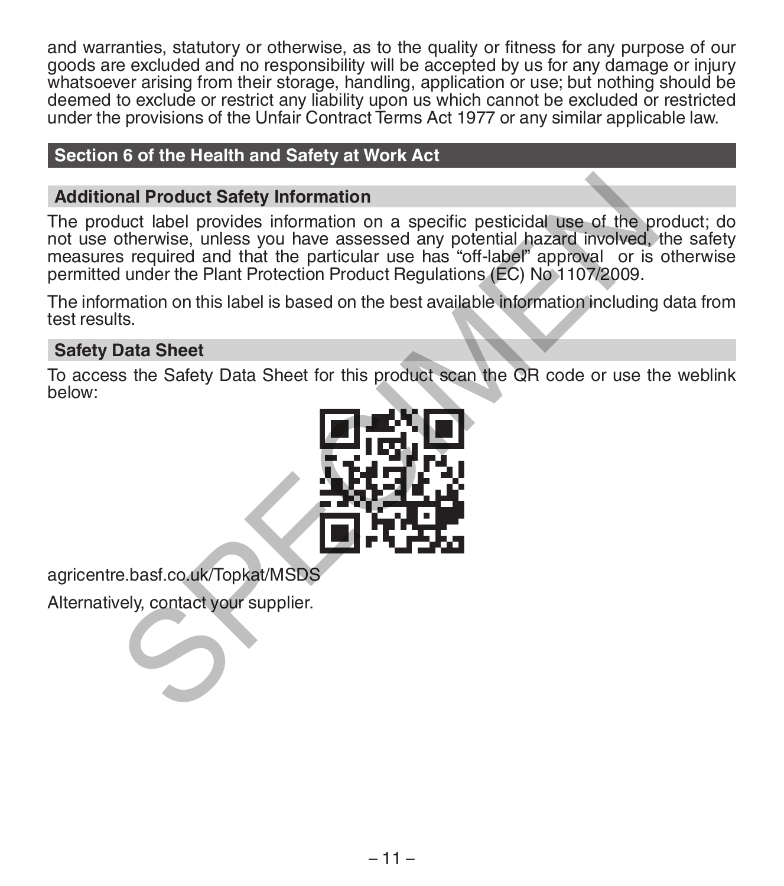and warranties, statutory or otherwise, as to the quality or fitness for any purpose of our goods are excluded and no responsibility will be accepted by us for any damage or injury whatsoever arising from their storage, handling, application or use; but nothing should be deemed to exclude or restrict any liability upon us which cannot be excluded or restricted under the provisions of the Unfair Contract Terms Act 1977 or any similar applicable law.

#### **Section 6 of the Health and Safety at Work Act**

#### **Additional Product Safety Information**

The product label provides information on a specific pesticidal use of the product; do not use otherwise, unless you have assessed any potential hazard involved, the safety measures required and that the particular use has "off-label" approval or is otherwise permitted under the Plant Protection Product Regulations (EC) No 1107/2009. nal Product Safety Information<br>
duct label provides information on a specific pesticidal use of the protential hazard involved,<br>
s required and that the particular use has "off-label" approval or is<br>
durate the Plant Prote

The information on this label is based on the best available information including data from test results.

### **Safety Data Sheet**

To access the Safety Data Sheet for this product scan the QR code or use the weblink below:



agricentre.basf.co.uk/Topkat/MSDS

Alternatively, contact your supplier.